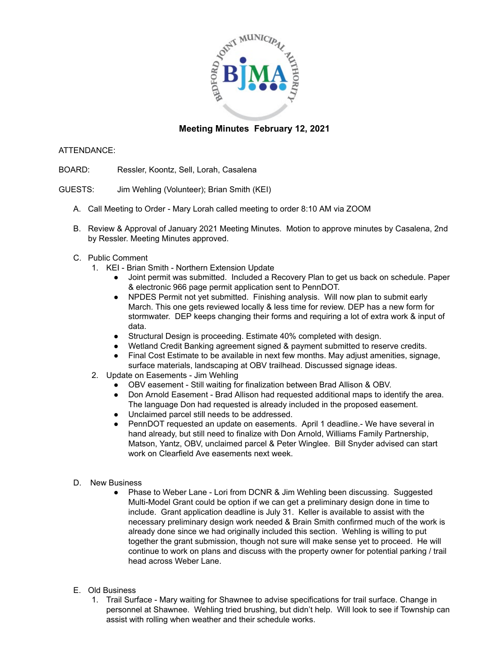

## **Meeting Minutes February 12, 2021**

## ATTENDANCE:

- BOARD: Ressler, Koontz, Sell, Lorah, Casalena
- GUESTS: Jim Wehling (Volunteer); Brian Smith (KEI)
	- A. Call Meeting to Order Mary Lorah called meeting to order 8:10 AM via ZOOM
	- B. Review & Approval of January 2021 Meeting Minutes. Motion to approve minutes by Casalena, 2nd by Ressler. Meeting Minutes approved.
	- C. Public Comment
		- 1. KEI Brian Smith Northern Extension Update
			- Joint permit was submitted. Included a Recovery Plan to get us back on schedule. Paper & electronic 966 page permit application sent to PennDOT.
			- NPDES Permit not yet submitted. Finishing analysis. Will now plan to submit early March. This one gets reviewed locally & less time for review. DEP has a new form for stormwater. DEP keeps changing their forms and requiring a lot of extra work & input of data.
			- Structural Design is proceeding. Estimate 40% completed with design.
			- Wetland Credit Banking agreement signed & payment submitted to reserve credits.
			- Final Cost Estimate to be available in next few months. May adjust amenities, signage, surface materials, landscaping at OBV trailhead. Discussed signage ideas.
		- 2. Update on Easements Jim Wehling
			- OBV easement Still waiting for finalization between Brad Allison & OBV.
			- Don Arnold Easement Brad Allison had requested additional maps to identify the area. The language Don had requested is already included in the proposed easement.
			- Unclaimed parcel still needs to be addressed.
			- PennDOT requested an update on easements. April 1 deadline.- We have several in hand already, but still need to finalize with Don Arnold, Williams Family Partnership, Matson, Yantz, OBV, unclaimed parcel & Peter Winglee. Bill Snyder advised can start work on Clearfield Ave easements next week.
	- D. New Business
		- Phase to Weber Lane Lori from DCNR & Jim Wehling been discussing. Suggested Multi-Model Grant could be option if we can get a preliminary design done in time to include. Grant application deadline is July 31. Keller is available to assist with the necessary preliminary design work needed & Brain Smith confirmed much of the work is already done since we had originally included this section. Wehling is willing to put together the grant submission, though not sure will make sense yet to proceed. He will continue to work on plans and discuss with the property owner for potential parking / trail head across Weber Lane.
	- E. Old Business
		- 1. Trail Surface Mary waiting for Shawnee to advise specifications for trail surface. Change in personnel at Shawnee. Wehling tried brushing, but didn't help. Will look to see if Township can assist with rolling when weather and their schedule works.